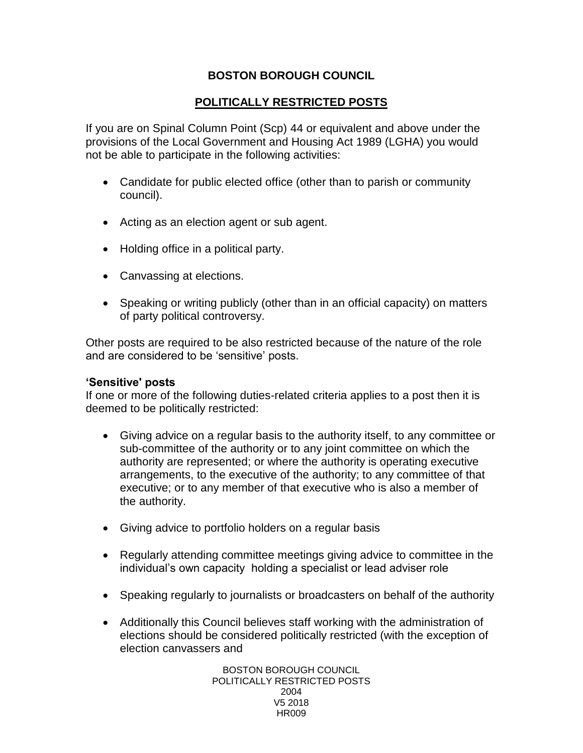# **BOSTON BOROUGH COUNCIL**

# **POLITICALLY RESTRICTED POSTS**

If you are on Spinal Column Point (Scp) 44 or equivalent and above under the provisions of the Local Government and Housing Act 1989 (LGHA) you would not be able to participate in the following activities:

- Candidate for public elected office (other than to parish or community council).
- Acting as an election agent or sub agent.
- Holding office in a political party.
- Canvassing at elections.
- Speaking or writing publicly (other than in an official capacity) on matters of party political controversy.

Other posts are required to be also restricted because of the nature of the role and are considered to be 'sensitive' posts.

#### **'Sensitive' posts**

If one or more of the following duties-related criteria applies to a post then it is deemed to be politically restricted:

- Giving advice on a regular basis to the authority itself, to any committee or sub-committee of the authority or to any joint committee on which the authority are represented; or where the authority is operating executive arrangements, to the executive of the authority; to any committee of that executive; or to any member of that executive who is also a member of the authority.
- Giving advice to portfolio holders on a regular basis
- Regularly attending committee meetings giving advice to committee in the individual's own capacity holding a specialist or lead adviser role
- Speaking regularly to journalists or broadcasters on behalf of the authority
- Additionally this Council believes staff working with the administration of elections should be considered politically restricted (with the exception of election canvassers and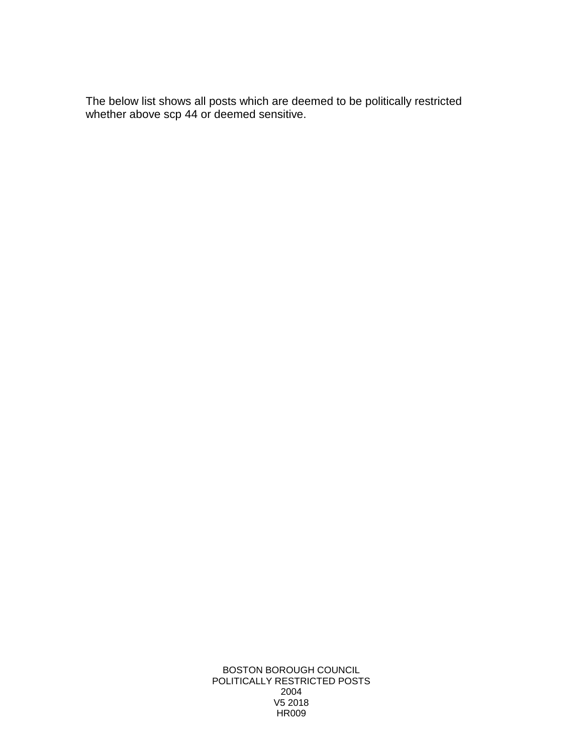The below list shows all posts which are deemed to be politically restricted whether above scp 44 or deemed sensitive.